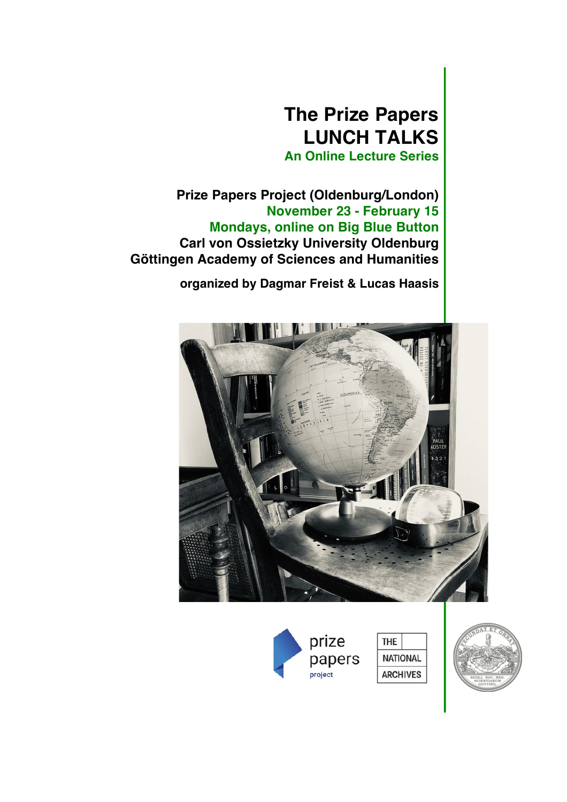# **The Prize Papers LUNCH TALKS**

**An Online Lecture Series**

**Prize Papers Project (Oldenburg/London) November 23 - February 15 Mondays, online on Big Blue Button Carl von Ossietzky University Oldenburg Göttingen Academy of Sciences and Humanities**

 **organized by Dagmar Freist & Lucas Haasis**





**NATIONAL ARCHIVES** 

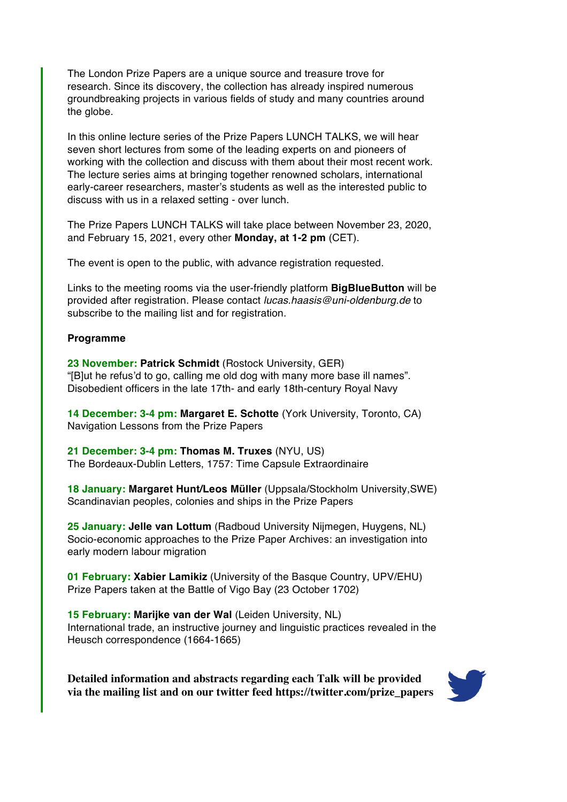The London Prize Papers are a unique source and treasure trove for research. Since its discovery, the collection has already inspired numerous groundbreaking projects in various fields of study and many countries around the globe.

In this online lecture series of the Prize Papers LUNCH TALKS, we will hear seven short lectures from some of the leading experts on and pioneers of working with the collection and discuss with them about their most recent work. The lecture series aims at bringing together renowned scholars, international early-career researchers, master's students as well as the interested public to discuss with us in a relaxed setting - over lunch.

The Prize Papers LUNCH TALKS will take place between November 23, 2020, and February 15, 2021, every other **Monday, at 1-2 pm** (CET).

The event is open to the public, with advance registration requested.

Links to the meeting rooms via the user-friendly platform **BigBlueButton** will be provided after registration. Please contact *lucas.haasis@uni-oldenburg.de* to subscribe to the mailing list and for registration.

#### **Programme**

**23 November: Patrick Schmidt** (Rostock University, GER) "[B]ut he refus'd to go, calling me old dog with many more base ill names". Disobedient officers in the late 17th- and early 18th-century Royal Navy

**14 December: 3-4 pm: Margaret E. Schotte** (York University, Toronto, CA) Navigation Lessons from the Prize Papers

**21 December: 3-4 pm: Thomas M. Truxes** (NYU, US) The Bordeaux-Dublin Letters, 1757: Time Capsule Extraordinaire

**18 January: Margaret Hunt/Leos Müller** (Uppsala/Stockholm University,SWE) Scandinavian peoples, colonies and ships in the Prize Papers

**25 January: Jelle van Lottum** (Radboud University Nijmegen, Huygens, NL) Socio-economic approaches to the Prize Paper Archives: an investigation into early modern labour migration

**01 February: Xabier Lamikiz** (University of the Basque Country, UPV/EHU) Prize Papers taken at the Battle of Vigo Bay (23 October 1702)

**15 February: Marijke van der Wal** (Leiden University, NL) International trade, an instructive journey and linguistic practices revealed in the Heusch correspondence (1664-1665)

**Detailed information and abstracts regarding each Talk will be provided via the mailing list and on our twitter feed https://twitter.com/prize\_papers**

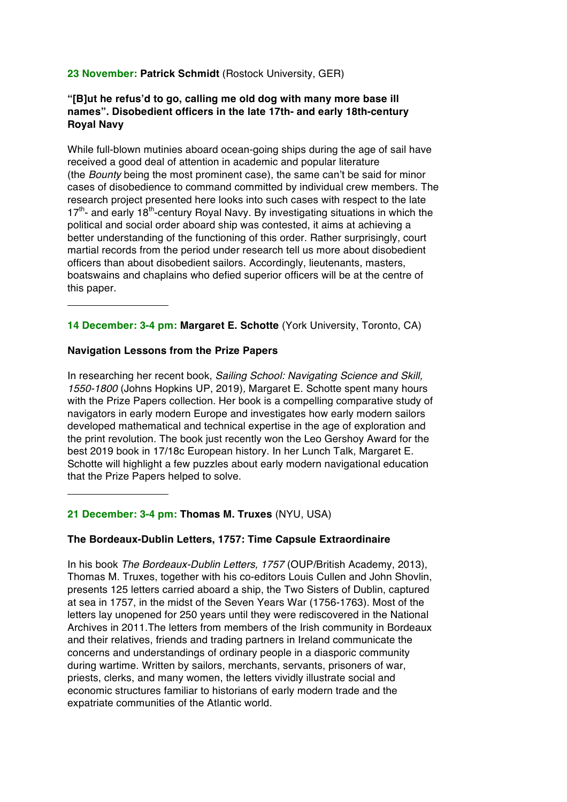# **23 November: Patrick Schmidt** (Rostock University, GER)

## **"[B]ut he refus'd to go, calling me old dog with many more base ill names". Disobedient officers in the late 17th- and early 18th-century Royal Navy**

While full-blown mutinies aboard ocean-going ships during the age of sail have received a good deal of attention in academic and popular literature (the *Bounty* being the most prominent case), the same can't be said for minor cases of disobedience to command committed by individual crew members. The research project presented here looks into such cases with respect to the late  $17<sup>th</sup>$ - and early 18<sup>th</sup>-century Royal Navy. By investigating situations in which the political and social order aboard ship was contested, it aims at achieving a better understanding of the functioning of this order. Rather surprisingly, court martial records from the period under research tell us more about disobedient officers than about disobedient sailors. Accordingly, lieutenants, masters, boatswains and chaplains who defied superior officers will be at the centre of this paper.

**14 December: 3-4 pm: Margaret E. Schotte** (York University, Toronto, CA)

## **Navigation Lessons from the Prize Papers**

In researching her recent book, *Sailing School: Navigating Science and Skill, 1550-1800* (Johns Hopkins UP, 2019)*,* Margaret E. Schotte spent many hours with the Prize Papers collection. Her book is a compelling comparative study of navigators in early modern Europe and investigates how early modern sailors developed mathematical and technical expertise in the age of exploration and the print revolution. The book just recently won the Leo Gershoy Award for the best 2019 book in 17/18c European history. In her Lunch Talk, Margaret E. Schotte will highlight a few puzzles about early modern navigational education that the Prize Papers helped to solve.

# **21 December: 3-4 pm: Thomas M. Truxes** (NYU, USA)

#### **The Bordeaux-Dublin Letters, 1757: Time Capsule Extraordinaire**

In his book *The Bordeaux-Dublin Letters, 1757* (OUP/British Academy, 2013), Thomas M. Truxes, together with his co-editors Louis Cullen and John Shovlin, presents 125 letters carried aboard a ship, the Two Sisters of Dublin, captured at sea in 1757, in the midst of the Seven Years War (1756-1763). Most of the letters lay unopened for 250 years until they were rediscovered in the National Archives in 2011.The letters from members of the Irish community in Bordeaux and their relatives, friends and trading partners in Ireland communicate the concerns and understandings of ordinary people in a diasporic community during wartime. Written by sailors, merchants, servants, prisoners of war, priests, clerks, and many women, the letters vividly illustrate social and economic structures familiar to historians of early modern trade and the expatriate communities of the Atlantic world.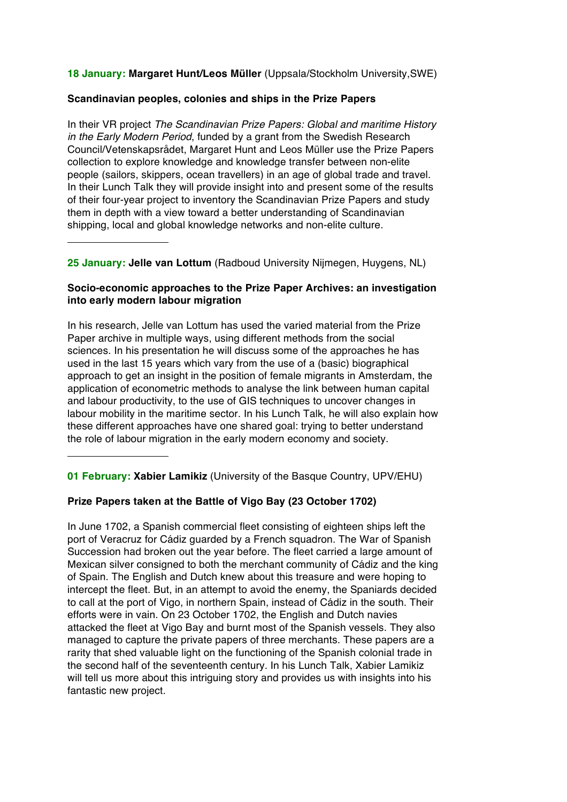**18 January: Margaret Hunt/Leos Müller** (Uppsala/Stockholm University,SWE)

#### **Scandinavian peoples, colonies and ships in the Prize Papers**

In their VR project *The Scandinavian Prize Papers: Global and maritime History in the Early Modern Period*, funded by a grant from the Swedish Research Council/Vetenskapsrådet, Margaret Hunt and Leos Müller use the Prize Papers collection to explore knowledge and knowledge transfer between non-elite people (sailors, skippers, ocean travellers) in an age of global trade and travel. In their Lunch Talk they will provide insight into and present some of the results of their four-year project to inventory the Scandinavian Prize Papers and study them in depth with a view toward a better understanding of Scandinavian shipping, local and global knowledge networks and non-elite culture.

**25 January: Jelle van Lottum** (Radboud University Nijmegen, Huygens, NL)

# **Socio-economic approaches to the Prize Paper Archives: an investigation into early modern labour migration**

In his research, Jelle van Lottum has used the varied material from the Prize Paper archive in multiple ways, using different methods from the social sciences. In his presentation he will discuss some of the approaches he has used in the last 15 years which vary from the use of a (basic) biographical approach to get an insight in the position of female migrants in Amsterdam, the application of econometric methods to analyse the link between human capital and labour productivity, to the use of GIS techniques to uncover changes in labour mobility in the maritime sector. In his Lunch Talk, he will also explain how these different approaches have one shared goal: trying to better understand the role of labour migration in the early modern economy and society.

**01 February: Xabier Lamikiz** (University of the Basque Country, UPV/EHU)

# **Prize Papers taken at the Battle of Vigo Bay (23 October 1702)**

In June 1702, a Spanish commercial fleet consisting of eighteen ships left the port of Veracruz for Cádiz guarded by a French squadron. The War of Spanish Succession had broken out the year before. The fleet carried a large amount of Mexican silver consigned to both the merchant community of Cádiz and the king of Spain. The English and Dutch knew about this treasure and were hoping to intercept the fleet. But, in an attempt to avoid the enemy, the Spaniards decided to call at the port of Vigo, in northern Spain, instead of Cádiz in the south. Their efforts were in vain. On 23 October 1702, the English and Dutch navies attacked the fleet at Vigo Bay and burnt most of the Spanish vessels. They also managed to capture the private papers of three merchants. These papers are a rarity that shed valuable light on the functioning of the Spanish colonial trade in the second half of the seventeenth century. In his Lunch Talk, Xabier Lamikiz will tell us more about this intriguing story and provides us with insights into his fantastic new project.